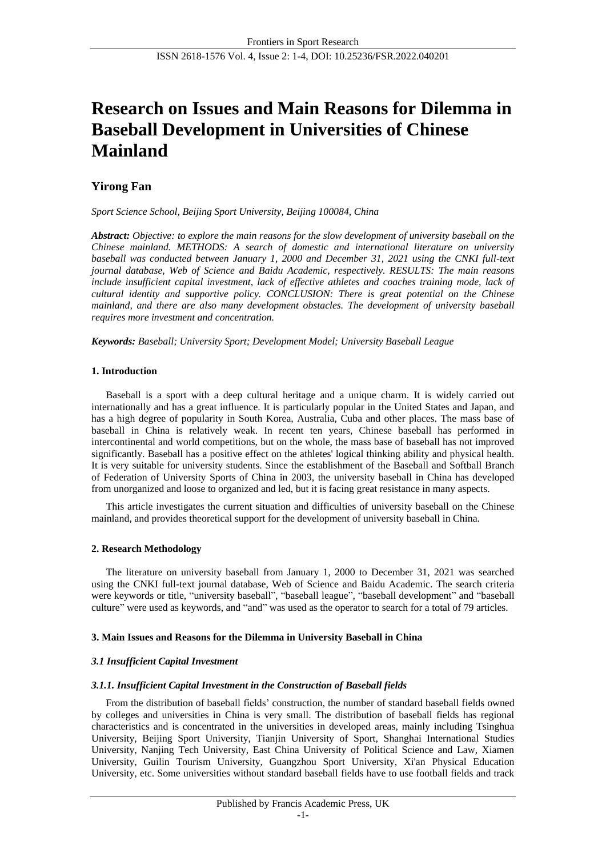# **Research on Issues and Main Reasons for Dilemma in Baseball Development in Universities of Chinese Mainland**

# **Yirong Fan**

*Sport Science School, Beijing Sport University, Beijing 100084, China*

*Abstract: Objective: to explore the main reasons for the slow development of university baseball on the Chinese mainland. METHODS: A search of domestic and international literature on university baseball was conducted between January 1, 2000 and December 31, 2021 using the CNKI full-text journal database, Web of Science and Baidu Academic, respectively. RESULTS: The main reasons include insufficient capital investment, lack of effective athletes and coaches training mode, lack of cultural identity and supportive policy. CONCLUSION: There is great potential on the Chinese mainland, and there are also many development obstacles. The development of university baseball requires more investment and concentration.*

*Keywords: Baseball; University Sport; Development Model; University Baseball League*

# **1. Introduction**

Baseball is a sport with a deep cultural heritage and a unique charm. It is widely carried out internationally and has a great influence. It is particularly popular in the United States and Japan, and has a high degree of popularity in South Korea, Australia, Cuba and other places. The mass base of baseball in China is relatively weak. In recent ten years, Chinese baseball has performed in intercontinental and world competitions, but on the whole, the mass base of baseball has not improved significantly. Baseball has a positive effect on the athletes' logical thinking ability and physical health. It is very suitable for university students. Since the establishment of the Baseball and Softball Branch of Federation of University Sports of China in 2003, the university baseball in China has developed from unorganized and loose to organized and led, but it is facing great resistance in many aspects.

This article investigates the current situation and difficulties of university baseball on the Chinese mainland, and provides theoretical support for the development of university baseball in China.

# **2. Research Methodology**

The literature on university baseball from January 1, 2000 to December 31, 2021 was searched using the CNKI full-text journal database, Web of Science and Baidu Academic. The search criteria were keywords or title, "university baseball", "baseball league", "baseball development" and "baseball culture" were used as keywords, and "and" was used as the operator to search for a total of 79 articles.

# **3. Main Issues and Reasons for the Dilemma in University Baseball in China**

# *3.1 Insufficient Capital Investment*

# *3.1.1. Insufficient Capital Investment in the Construction of Baseball fields*

From the distribution of baseball fields' construction, the number of standard baseball fields owned by colleges and universities in China is very small. The distribution of baseball fields has regional characteristics and is concentrated in the universities in developed areas, mainly including Tsinghua University, Beijing Sport University, Tianjin University of Sport, Shanghai International Studies University, Nanjing Tech University, East China University of Political Science and Law, Xiamen University, Guilin Tourism University, Guangzhou Sport University, Xi'an Physical Education University, etc. Some universities without standard baseball fields have to use football fields and track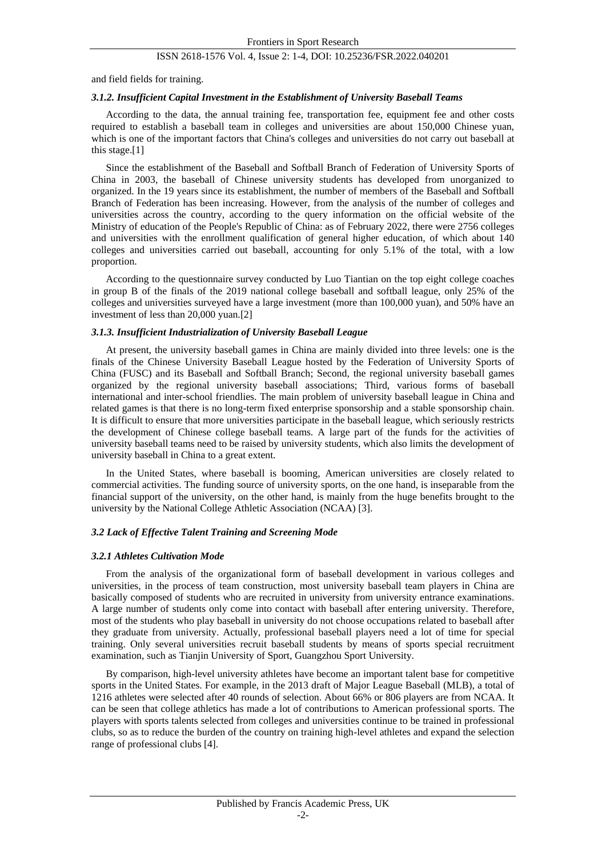### ISSN 2618-1576 Vol. 4, Issue 2: 1-4, DOI: 10.25236/FSR.2022.040201

and field fields for training.

#### *3.1.2. Insufficient Capital Investment in the Establishment of University Baseball Teams*

According to the data, the annual training fee, transportation fee, equipment fee and other costs required to establish a baseball team in colleges and universities are about 150,000 Chinese yuan, which is one of the important factors that China's colleges and universities do not carry out baseball at this stage.[1]

Since the establishment of the Baseball and Softball Branch of Federation of University Sports of China in 2003, the baseball of Chinese university students has developed from unorganized to organized. In the 19 years since its establishment, the number of members of the Baseball and Softball Branch of Federation has been increasing. However, from the analysis of the number of colleges and universities across the country, according to the query information on the official website of the Ministry of education of the People's Republic of China: as of February 2022, there were 2756 colleges and universities with the enrollment qualification of general higher education, of which about 140 colleges and universities carried out baseball, accounting for only 5.1% of the total, with a low proportion.

According to the questionnaire survey conducted by Luo Tiantian on the top eight college coaches in group B of the finals of the 2019 national college baseball and softball league, only 25% of the colleges and universities surveyed have a large investment (more than 100,000 yuan), and 50% have an investment of less than 20,000 yuan.[2]

#### *3.1.3. Insufficient Industrialization of University Baseball League*

At present, the university baseball games in China are mainly divided into three levels: one is the finals of the Chinese University Baseball League hosted by the Federation of University Sports of China (FUSC) and its Baseball and Softball Branch; Second, the regional university baseball games organized by the regional university baseball associations; Third, various forms of baseball international and inter-school friendlies. The main problem of university baseball league in China and related games is that there is no long-term fixed enterprise sponsorship and a stable sponsorship chain. It is difficult to ensure that more universities participate in the baseball league, which seriously restricts the development of Chinese college baseball teams. A large part of the funds for the activities of university baseball teams need to be raised by university students, which also limits the development of university baseball in China to a great extent.

In the United States, where baseball is booming, American universities are closely related to commercial activities. The funding source of university sports, on the one hand, is inseparable from the financial support of the university, on the other hand, is mainly from the huge benefits brought to the university by the National College Athletic Association (NCAA) [3].

## *3.2 Lack of Effective Talent Training and Screening Mode*

#### *3.2.1 Athletes Cultivation Mode*

From the analysis of the organizational form of baseball development in various colleges and universities, in the process of team construction, most university baseball team players in China are basically composed of students who are recruited in university from university entrance examinations. A large number of students only come into contact with baseball after entering university. Therefore, most of the students who play baseball in university do not choose occupations related to baseball after they graduate from university. Actually, professional baseball players need a lot of time for special training. Only several universities recruit baseball students by means of sports special recruitment examination, such as Tianjin University of Sport, Guangzhou Sport University.

By comparison, high-level university athletes have become an important talent base for competitive sports in the United States. For example, in the 2013 draft of Major League Baseball (MLB), a total of 1216 athletes were selected after 40 rounds of selection. About 66% or 806 players are from NCAA. It can be seen that college athletics has made a lot of contributions to American professional sports. The players with sports talents selected from colleges and universities continue to be trained in professional clubs, so as to reduce the burden of the country on training high-level athletes and expand the selection range of professional clubs [4].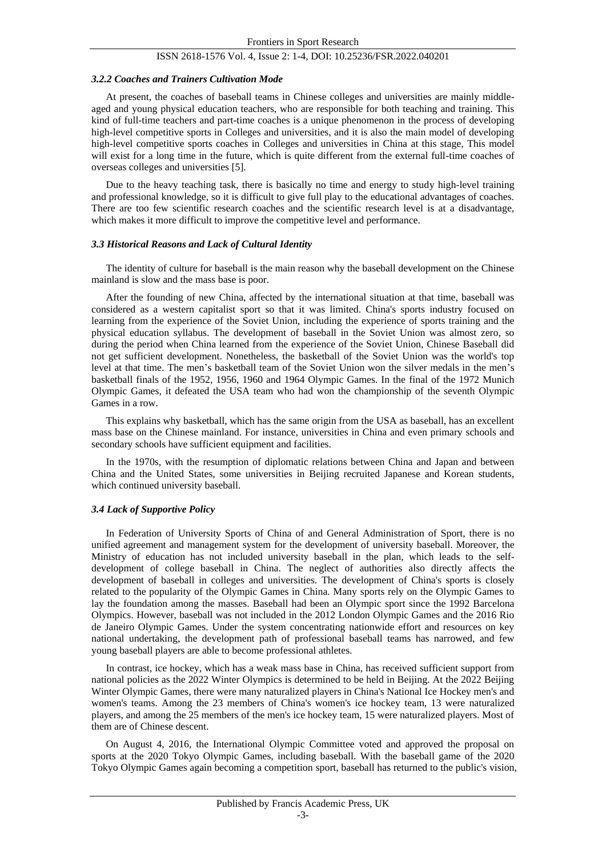## ISSN 2618-1576 Vol. 4, Issue 2: 1-4, DOI: 10.25236/FSR.2022.040201

#### *3.2.2 Coaches and Trainers Cultivation Mode*

At present, the coaches of baseball teams in Chinese colleges and universities are mainly middleaged and young physical education teachers, who are responsible for both teaching and training. This kind of full-time teachers and part-time coaches is a unique phenomenon in the process of developing high-level competitive sports in Colleges and universities, and it is also the main model of developing high-level competitive sports coaches in Colleges and universities in China at this stage, This model will exist for a long time in the future, which is quite different from the external full-time coaches of overseas colleges and universities [5].

Due to the heavy teaching task, there is basically no time and energy to study high-level training and professional knowledge, so it is difficult to give full play to the educational advantages of coaches. There are too few scientific research coaches and the scientific research level is at a disadvantage, which makes it more difficult to improve the competitive level and performance.

#### *3.3 Historical Reasons and Lack of Cultural Identity*

The identity of culture for baseball is the main reason why the baseball development on the Chinese mainland is slow and the mass base is poor.

After the founding of new China, affected by the international situation at that time, baseball was considered as a western capitalist sport so that it was limited. China's sports industry focused on learning from the experience of the Soviet Union, including the experience of sports training and the physical education syllabus. The development of baseball in the Soviet Union was almost zero, so during the period when China learned from the experience of the Soviet Union, Chinese Baseball did not get sufficient development. Nonetheless, the basketball of the Soviet Union was the world's top level at that time. The men's basketball team of the Soviet Union won the silver medals in the men's basketball finals of the 1952, 1956, 1960 and 1964 Olympic Games. In the final of the 1972 Munich Olympic Games, it defeated the USA team who had won the championship of the seventh Olympic Games in a row.

This explains why basketball, which has the same origin from the USA as baseball, has an excellent mass base on the Chinese mainland. For instance, universities in China and even primary schools and secondary schools have sufficient equipment and facilities.

In the 1970s, with the resumption of diplomatic relations between China and Japan and between China and the United States, some universities in Beijing recruited Japanese and Korean students, which continued university baseball.

#### *3.4 Lack of Supportive Policy*

In Federation of University Sports of China of and General Administration of Sport, there is no unified agreement and management system for the development of university baseball. Moreover, the Ministry of education has not included university baseball in the plan, which leads to the selfdevelopment of college baseball in China. The neglect of authorities also directly affects the development of baseball in colleges and universities. The development of China's sports is closely related to the popularity of the Olympic Games in China. Many sports rely on the Olympic Games to lay the foundation among the masses. Baseball had been an Olympic sport since the 1992 Barcelona Olympics. However, baseball was not included in the 2012 London Olympic Games and the 2016 Rio de Janeiro Olympic Games. Under the system concentrating nationwide effort and resources on key national undertaking, the development path of professional baseball teams has narrowed, and few young baseball players are able to become professional athletes.

In contrast, ice hockey, which has a weak mass base in China, has received sufficient support from national policies as the 2022 Winter Olympics is determined to be held in Beijing. At the 2022 Beijing Winter Olympic Games, there were many naturalized players in China's National Ice Hockey men's and women's teams. Among the 23 members of China's women's ice hockey team, 13 were naturalized players, and among the 25 members of the men's ice hockey team, 15 were naturalized players. Most of them are of Chinese descent.

On August 4, 2016, the International Olympic Committee voted and approved the proposal on sports at the 2020 Tokyo Olympic Games, including baseball. With the baseball game of the 2020 Tokyo Olympic Games again becoming a competition sport, baseball has returned to the public's vision,